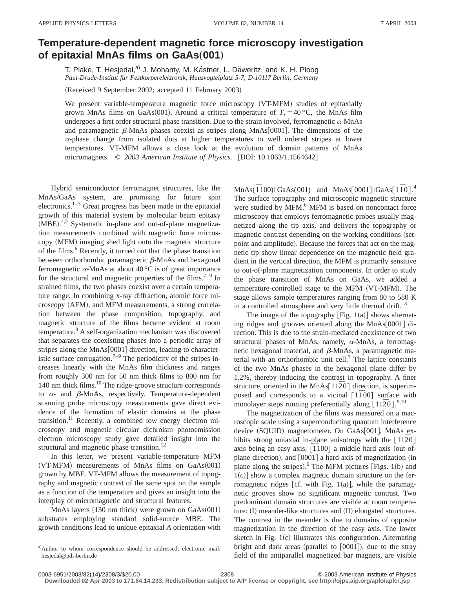## **Temperature-dependent magnetic force microscopy investigation of epitaxial MnAs films on GaAs(001)**

T. Plake, T. Hesjedal,<sup>a)</sup> J. Mohanty, M. Kästner, L. Däweritz, and K. H. Ploog Paul-Drude-Institut für Festkörperelektronik, Hausvogteiplatz 5-7, D-10117 Berlin, Germany

(Received 9 September 2002; accepted 11 February 2003)

We present variable-temperature magnetic force microscopy (VT-MFM) studies of epitaxially grown MnAs films on GaAs(001). Around a critical temperature of  $T_c = 40 \degree C$ , the MnAs film undergoes a first order structural phase transition. Due to the strain involved, ferromagnetic  $\alpha$ -MnAs and paramagnetic  $\beta$ -MnAs phases coexist as stripes along MnAs $[0001]$ . The dimensions of the  $\alpha$ -phase change from isolated dots at higher temperatures to well ordered stripes at lower temperatures. VT-MFM allows a close look at the evolution of domain patterns of MnAs micromagnets. © 2003 American Institute of Physics. [DOI: 10.1063/1.1564642]

Hybrid semiconductor ferromagnet structures, like the MnAs/GaAs system, are promising for future spin electronics.<sup>1–3</sup> Great progress has been made in the epitaxial growth of this material system by molecular beam epitaxy (MBE).<sup>4,5</sup> Systematic in-plane and out-of-plane magnetization measurements combined with magnetic force microscopy (MFM) imaging shed light onto the magnetic structure of the films.<sup>6</sup> Recently, it turned out that the phase transition between orthorhombic paramagnetic  $\beta$ -MnAs and hexagonal ferromagnetic  $\alpha$ -MnAs at about 40 °C is of great importance for the structural and magnetic properties of the films.<sup>7-9</sup> In strained films, the two phases coexist over a certain temperature range. In combining x-ray diffraction, atomic force microscopy (AFM), and MFM measurements, a strong correlation between the phase composition, topography, and magnetic structure of the films became evident at room temperature.<sup>9</sup> A self-organization mechanism was discovered that separates the coexisting phases into a periodic array of stripes along the MnAs[0001] direction, leading to characteristic surface corrugation.<sup>7–9</sup> The periodicity of the stripes increases linearly with the MnAs film thickness and ranges from roughly 300 nm for 50 nm thick films to 800 nm for 140 nm thick films.<sup>10</sup> The ridge-groove structure corresponds to  $\alpha$ - and  $\beta$ -MnAs, respectively. Temperature-dependent scanning probe microscopy measurements gave direct evidence of the formation of elastic domains at the phase transition.<sup>11</sup> Recently, a combined low energy electron microscopy and magnetic circular dichroism photoemission electron microscopy study gave detailed insight into the structural and magnetic phase transition.<sup>12</sup>

In this letter, we present variable-temperature MFM  $(VT-MFM)$  measurements of MnAs films on GaAs $(001)$ grown by MBE. VT-MFM allows the measurement of topography and magnetic contrast of the same spot on the sample as a function of the temperature and gives an insight into the interplay of micromagnetic and structural features.

MnAs layers  $(130 \text{ nm thick})$  were grown on  $GaAs(001)$ substrates employing standard solid-source MBE. The growth conditions lead to unique epitaxial *A* orientation with

 $MnAs(\bar{1}100)||GaAs(001)$  and  $MnAs[0001]||GaAs[1\bar{1}0].<sup>4</sup>$ The surface topography and microscopic magnetic structure were studied by MFM.<sup>6</sup> MFM is based on noncontact force microscopy that employs ferromagnetic probes usually magnetized along the tip axis, and delivers the topography or magnetic contrast depending on the working conditions (setpoint and amplitude). Because the forces that act on the magnetic tip show linear dependence on the magnetic field gradient in the vertical direction, the MFM is primarily sensitive to out-of-plane magnetization components. In order to study the phase transition of MnAs on GaAs, we added a temperature-controlled stage to the MFM (VT-MFM). The stage allows sample temperatures ranging from 80 to 580 K in a controlled atmosphere and very little thermal drift.<sup>13</sup>

The image of the topography  $[Fig. 1(a)]$  shows alternating ridges and grooves oriented along the MnAs $[0001]$  direction. This is due to the strain-mediated coexistence of two structural phases of MnAs, namely,  $\alpha$ -MnAs, a ferromagnetic hexagonal material, and  $\beta$ -MnAs, a paramagnetic material with an orthorhombic unit cell.<sup>7</sup> The lattice constants of the two MnAs phases in the hexagonal plane differ by 1.2%, thereby inducing the contrast in topography. A finer structure, oriented in the MnAs $\lceil 11\bar{2}0 \rceil$  direction, is superimposed and corresponds to a vicinal  $[1\overline{1}00]$  surface with monolayer steps running preferentially along  $[11\overline{2}0]$ .<sup>9,10</sup>

The magnetization of the films was measured on a macroscopic scale using a superconducting quantum interference device  $(SQUID)$  magnetometer. On GaAs $[001]$ , MnAs exhibits strong uniaxial in-plane anisotropy with the  $[11\overline{2}0]$ axis being an easy axis,  $[\bar{1}100]$  a middle hard axis (out-ofplane direction), and  $[0001]$  a hard axis of magnetization (in plane along the stripes).<sup>6</sup> The MFM pictures [Figs.  $1(b)$  and  $1(c)$ ] show a complex magnetic domain structure on the ferromagnetic ridges [cf. with Fig. 1(a)], while the paramagnetic grooves show no significant magnetic contrast. Two predominant domain structures are visible at room temperature: (I) meander-like structures and (II) elongated structures. The contrast in the meander is due to domains of opposite magnetization in the direction of the easy axis. The lower sketch in Fig.  $1(c)$  illustrates this configuration. Alternating bright and dark areas (parallel to  $[0001]$ ), due to the stray field of the antiparallel magnetized bar magnets, are visible

**Downloaded 02 Apr 2003 to 171.64.14.233. Redistribution subject to AIP license or copyright, see http://ojps.aip.org/aplo/aplcr.jsp**

a)Author to whom correspondence should be addressed; electronic mail: hesjedal@pdi-berlin.de

<sup>0003-6951/2003/82(14)/2308/3/\$20.00 © 2003</sup> American Institute of Physics 2308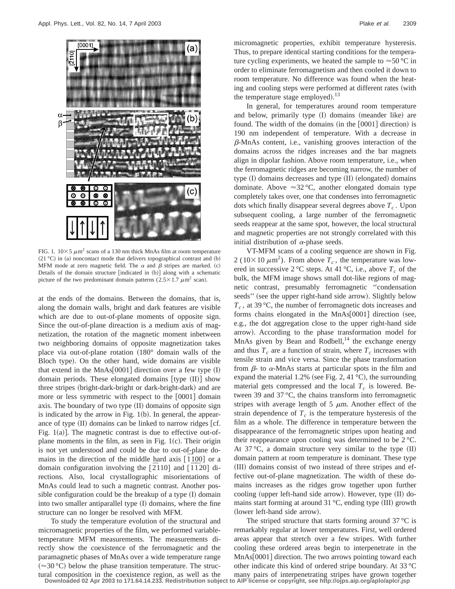

FIG. 1.  $10\times5 \mu m^2$  scans of a 130 nm thick MnAs film at room temperature  $(21 °C)$  in (a) noncontact mode that delivers topographical contrast and (b) MFM mode at zero magnetic field. The  $\alpha$  and  $\beta$  stripes are marked. (c) Details of the domain structure [indicated in (b)] along with a schematic picture of the two predominant domain patterns ( $2.5 \times 1.7 \mu m^2$  scan).

at the ends of the domains. Between the domains, that is, along the domain walls, bright and dark features are visible which are due to out-of-plane moments of opposite sign. Since the out-of-plane direaction is a medium axis of magnetization, the rotation of the magnetic moment inbetween two neighboring domains of opposite magnetization takes place via out-of-plane rotation  $(180^\circ)$  domain walls of the Bloch type). On the other hand, wide domains are visible that extend in the MnAs $[0001]$  direction over a few type  $(I)$ domain periods. These elongated domains  $[type (II)]$  show three stripes (bright-dark-bright or dark-bright-dark) and are more or less symmetric with respect to the  $[0001]$  domain axis. The boundary of two type  $(II)$  domains of opposite sign is indicated by the arrow in Fig.  $1(b)$ . In general, the appearance of type  $(II)$  domains can be linked to narrow ridges  $|cf.$ Fig.  $1(a)$ ]. The magnetic contrast is due to effective out-ofplane moments in the film, as seen in Fig.  $1(c)$ . Their origin is not yet understood and could be due to out-of-plane domains in the direction of the middle hard axis  $\overline{[1100]}$  or a domain configuration involving the  $\left[2110\right]$  and  $\left[1\overline{1}20\right]$  directions. Also, local crystallographic misorientations of MnAs could lead to such a magnetic contrast. Another possible configuration could be the breakup of a type  $(I)$  domain into two smaller antiparallel type  $(I)$  domains, where the fine structure can no longer be resolved with MFM.

To study the temperature evolution of the structural and micromagnetic properties of the film, we performed variabletemperature MFM measurements. The measurements directly show the coexistence of the ferromagnetic and the paramagnetic phases of MnAs over a wide temperature range  $(\approx 30 \degree C)$  below the phase transition temperature. The structural composition in the coexistence region, as well as the micromagnetic properties, exhibit temperature hysteresis. Thus, to prepare identical starting conditions for the temperature cycling experiments, we heated the sample to  $\approx$  50 °C in order to eliminate ferromagnetism and then cooled it down to room temperature. No difference was found when the heating and cooling steps were performed at different rates (with the temperature stage employed). $^{13}$ 

In general, for temperatures around room temperature and below, primarily type  $(I)$  domains (meander like) are found. The width of the domains (in the  $[0001]$  direction) is 190 nm independent of temperature. With a decrease in  $\beta$ -MnAs content, i.e., vanishing grooves interaction of the domains across the ridges increases and the bar magnets align in dipolar fashion. Above room temperature, i.e., when the ferromagnetic ridges are becoming narrow, the number of type  $(I)$  domains decreases and type  $(II)$  (elongated) domains dominate. Above  $\approx 32$  °C, another elongated domain type completely takes over, one that condenses into ferromagnetic dots which finally disappear several degrees above  $T_c$ . Upon subsequent cooling, a large number of the ferromagnetic seeds reappear at the same spot, however, the local structural and magnetic properties are not strongly correlated with this initial distribution of  $\alpha$ -phase seeds.

VT-MFM scans of a cooling sequence are shown in Fig. 2 ( $10\times10 \ \mu \text{m}^2$ ). From above  $T_c$ , the temperature was lowered in successive 2 °C steps. At 41 °C, i.e., above  $T_c$  of the bulk, the MFM image shows small dot-like regions of magnetic contrast, presumably ferromagnetic ''condensation seeds" (see the upper right-hand side arrow). Slightly below  $T_c$ , at 39 °C, the number of ferromagnetic dots increases and forms chains elongated in the  $MnAs[0001]$  direction (see, e.g., the dot aggregation close to the upper right-hand side arrow). According to the phase transformation model for MnAs given by Bean and  $Rodbell$ ,<sup>14</sup> the exchange energy and thus  $T_c$  are a function of strain, where  $T_c$  increases with tensile strain and vice versa. Since the phase transformation from  $\beta$ - to  $\alpha$ -MnAs starts at particular spots in the film and expand the material 1.2% (see Fig. 2, 41  $^{\circ}$ C), the surrounding material gets compressed and the local  $T_c$  is lowered. Between 39 and 37 °C, the chains transform into ferromagnetic stripes with average length of 5  $\mu$ m. Another effect of the strain dependence of  $T_c$  is the temperature hysteresis of the film as a whole. The difference in temperature between the disappearance of the ferromagnetic stripes upon heating and their reappearance upon cooling was determined to be 2 °C. At  $37^{\circ}$ C, a domain structure very similar to the type  $(II)$ domain pattern at room temperature is dominant. These type (III) domains consist of two instead of three stripes and effective out-of-plane magnetization. The width of these domains increases as the ridges grow together upon further cooling (upper left-hand side arrow). However, type  $(II)$  domains start forming at around  $31 °C$ , ending type (III) growth (lower left-hand side arrow).

The striped structure that starts forming around  $37^{\circ}$ C is remarkably regular at lower temperatures. First, well ordered areas appear that stretch over a few stripes. With further cooling these ordered areas begin to interpenetrate in the  $MnAs$  0001 direction. The two arrows pointing toward each other indicate this kind of ordered stripe boundary. At 33 °C many pairs of interpenetrating stripes have grown together

**Downloaded 02 Apr 2003 to 171.64.14.233. Redistribution subject to AIP license or copyright, see http://ojps.aip.org/aplo/aplcr.jsp**